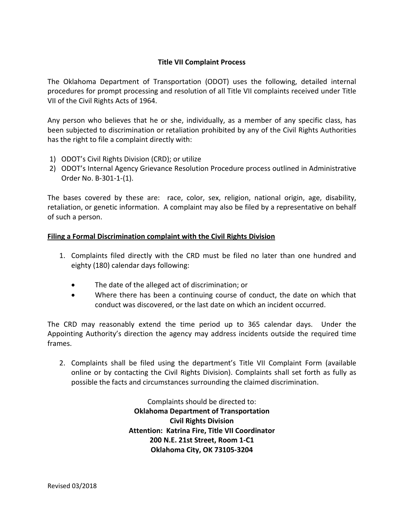## **Title VII Complaint Process**

The Oklahoma Department of Transportation (ODOT) uses the following, detailed internal procedures for prompt processing and resolution of all Title VII complaints received under Title VII of the Civil Rights Acts of 1964.

Any person who believes that he or she, individually, as a member of any specific class, has been subjected to discrimination or retaliation prohibited by any of the Civil Rights Authorities has the right to file a complaint directly with:

- 1) ODOT's Civil Rights Division (CRD); or utilize
- 2) ODOT's Internal Agency Grievance Resolution Procedure process outlined in Administrative Order No. B-301-1-(1).

The bases covered by these are: race, color, sex, religion, national origin, age, disability, retaliation, or genetic information. A complaint may also be filed by a representative on behalf of such a person.

## **Filing a Formal Discrimination complaint with the Civil Rights Division**

- 1. Complaints filed directly with the CRD must be filed no later than one hundred and eighty (180) calendar days following:
	- The date of the alleged act of discrimination; or
	- Where there has been a continuing course of conduct, the date on which that conduct was discovered, or the last date on which an incident occurred.

The CRD may reasonably extend the time period up to 365 calendar days. Under the Appointing Authority's direction the agency may address incidents outside the required time frames.

2. Complaints shall be filed using the department's Title VII Complaint Form (available online or by contacting the Civil Rights Division). Complaints shall set forth as fully as possible the facts and circumstances surrounding the claimed discrimination.

> Complaints should be directed to: **Oklahoma Department of Transportation Civil Rights Division Attention: Katrina Fire, Title VII Coordinator 200 N.E. 21st Street, Room 1-C1 Oklahoma City, OK 73105-3204**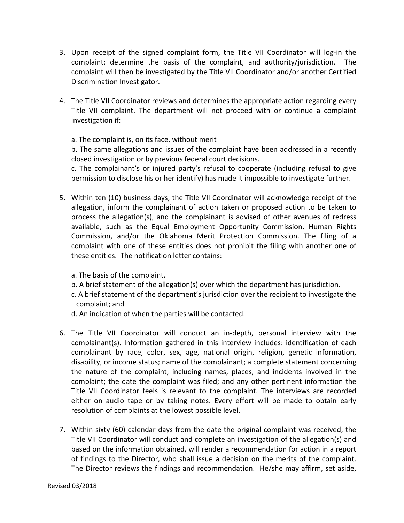- 3. Upon receipt of the signed complaint form, the Title VII Coordinator will log-in the complaint; determine the basis of the complaint, and authority/jurisdiction. The complaint will then be investigated by the Title VII Coordinator and/or another Certified Discrimination Investigator.
- 4. The Title VII Coordinator reviews and determines the appropriate action regarding every Title VII complaint. The department will not proceed with or continue a complaint investigation if:

a. The complaint is, on its face, without merit

b. The same allegations and issues of the complaint have been addressed in a recently closed investigation or by previous federal court decisions.

c. The complainant's or injured party's refusal to cooperate (including refusal to give permission to disclose his or her identify) has made it impossible to investigate further.

- 5. Within ten (10) business days, the Title VII Coordinator will acknowledge receipt of the allegation, inform the complainant of action taken or proposed action to be taken to process the allegation(s), and the complainant is advised of other avenues of redress available, such as the Equal Employment Opportunity Commission, Human Rights Commission, and/or the Oklahoma Merit Protection Commission. The filing of a complaint with one of these entities does not prohibit the filing with another one of these entities. The notification letter contains:
	- a. The basis of the complaint.
	- b. A brief statement of the allegation(s) over which the department has jurisdiction.
	- c. A brief statement of the department's jurisdiction over the recipient to investigate the complaint; and
	- d. An indication of when the parties will be contacted.
- 6. The Title VII Coordinator will conduct an in-depth, personal interview with the complainant(s). Information gathered in this interview includes: identification of each complainant by race, color, sex, age, national origin, religion, genetic information, disability, or income status; name of the complainant; a complete statement concerning the nature of the complaint, including names, places, and incidents involved in the complaint; the date the complaint was filed; and any other pertinent information the Title VII Coordinator feels is relevant to the complaint. The interviews are recorded either on audio tape or by taking notes. Every effort will be made to obtain early resolution of complaints at the lowest possible level.
- 7. Within sixty (60) calendar days from the date the original complaint was received, the Title VII Coordinator will conduct and complete an investigation of the allegation(s) and based on the information obtained, will render a recommendation for action in a report of findings to the Director, who shall issue a decision on the merits of the complaint. The Director reviews the findings and recommendation. He/she may affirm, set aside,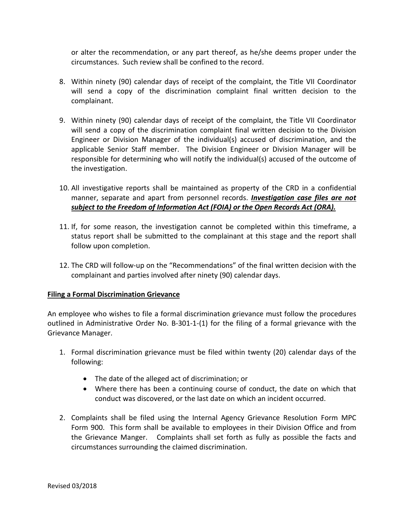or alter the recommendation, or any part thereof, as he/she deems proper under the circumstances. Such review shall be confined to the record.

- 8. Within ninety (90) calendar days of receipt of the complaint, the Title VII Coordinator will send a copy of the discrimination complaint final written decision to the complainant.
- 9. Within ninety (90) calendar days of receipt of the complaint, the Title VII Coordinator will send a copy of the discrimination complaint final written decision to the Division Engineer or Division Manager of the individual(s) accused of discrimination, and the applicable Senior Staff member. The Division Engineer or Division Manager will be responsible for determining who will notify the individual(s) accused of the outcome of the investigation.
- 10. All investigative reports shall be maintained as property of the CRD in a confidential manner, separate and apart from personnel records. *Investigation case files are not subject to the Freedom of Information Act (FOIA) or the Open Records Act (ORA).*
- 11. If, for some reason, the investigation cannot be completed within this timeframe, a status report shall be submitted to the complainant at this stage and the report shall follow upon completion.
- 12. The CRD will follow-up on the "Recommendations" of the final written decision with the complainant and parties involved after ninety (90) calendar days.

## **Filing a Formal Discrimination Grievance**

An employee who wishes to file a formal discrimination grievance must follow the procedures outlined in Administrative Order No. B-301-1-(1) for the filing of a formal grievance with the Grievance Manager.

- 1. Formal discrimination grievance must be filed within twenty (20) calendar days of the following:
	- The date of the alleged act of discrimination; or
	- Where there has been a continuing course of conduct, the date on which that conduct was discovered, or the last date on which an incident occurred.
- 2. Complaints shall be filed using the Internal Agency Grievance Resolution Form MPC Form 900. This form shall be available to employees in their Division Office and from the Grievance Manger. Complaints shall set forth as fully as possible the facts and circumstances surrounding the claimed discrimination.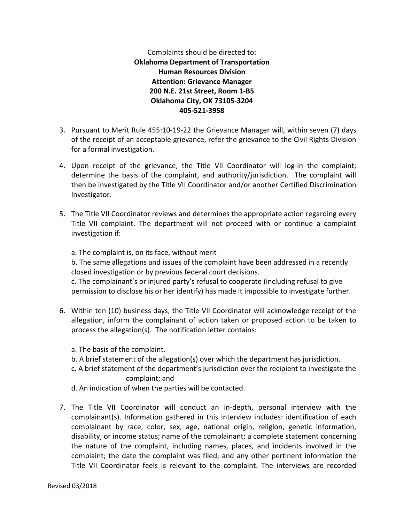Complaints should be directed to: **Oklahoma Department of Transportation Human Resources Division Attention: Grievance Manager 200 N.E. 21st Street, Room 1-B5 Oklahoma City, OK 73105-3204 405-521-3958**

- 3. Pursuant to Merit Rule 455:10-19-22 the Grievance Manager will, within seven (7) days of the receipt of an acceptable grievance, refer the grievance to the Civil Rights Division for a formal investigation.
- 4. Upon receipt of the grievance, the Title VII Coordinator will log-in the complaint; determine the basis of the complaint, and authority/jurisdiction. The complaint will then be investigated by the Title VII Coordinator and/or another Certified Discrimination Investigator.
- 5. The Title VII Coordinator reviews and determines the appropriate action regarding every Title VII complaint. The department will not proceed with or continue a complaint investigation if:

a. The complaint is, on its face, without merit

b. The same allegations and issues of the complaint have been addressed in a recently closed investigation or by previous federal court decisions.

c. The complainant's or injured party's refusal to cooperate (including refusal to give permission to disclose his or her identify) has made it impossible to investigate further.

- 6. Within ten (10) business days, the Title VII Coordinator will acknowledge receipt of the allegation, inform the complainant of action taken or proposed action to be taken to process the allegation(s). The notification letter contains:
	- a. The basis of the complaint.
	- b. A brief statement of the allegation(s) over which the department has jurisdiction.
	- c. A brief statement of the department's jurisdiction over the recipient to investigate the complaint; and
	- d. An indication of when the parties will be contacted.
- 7. The Title VII Coordinator will conduct an in-depth, personal interview with the complainant(s). Information gathered in this interview includes: identification of each complainant by race, color, sex, age, national origin, religion, genetic information, disability, or income status; name of the complainant; a complete statement concerning the nature of the complaint, including names, places, and incidents involved in the complaint; the date the complaint was filed; and any other pertinent information the Title VII Coordinator feels is relevant to the complaint. The interviews are recorded